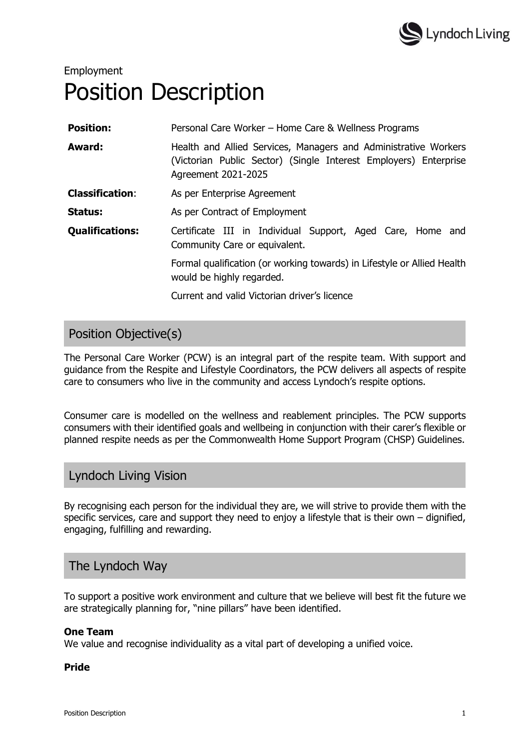

# Employment Position Description

| <b>Position:</b>       | Personal Care Worker - Home Care & Wellness Programs                                                                                                       |
|------------------------|------------------------------------------------------------------------------------------------------------------------------------------------------------|
| Award:                 | Health and Allied Services, Managers and Administrative Workers<br>(Victorian Public Sector) (Single Interest Employers) Enterprise<br>Agreement 2021-2025 |
| <b>Classification:</b> | As per Enterprise Agreement                                                                                                                                |
| Status:                | As per Contract of Employment                                                                                                                              |
| <b>Qualifications:</b> | Certificate III in Individual Support, Aged Care, Home and<br>Community Care or equivalent.                                                                |
|                        | Formal qualification (or working towards) in Lifestyle or Allied Health<br>would be highly regarded.                                                       |
|                        | Current and valid Victorian driver's licence                                                                                                               |

# Position Objective(s)

The Personal Care Worker (PCW) is an integral part of the respite team. With support and guidance from the Respite and Lifestyle Coordinators, the PCW delivers all aspects of respite care to consumers who live in the community and access Lyndoch's respite options.

Consumer care is modelled on the wellness and reablement principles. The PCW supports consumers with their identified goals and wellbeing in conjunction with their carer's flexible or planned respite needs as per the Commonwealth Home Support Program (CHSP) Guidelines.

# Lyndoch Living Vision

By recognising each person for the individual they are, we will strive to provide them with the specific services, care and support they need to enjoy a lifestyle that is their own – dignified, engaging, fulfilling and rewarding.

# The Lyndoch Way

To support a positive work environment and culture that we believe will best fit the future we are strategically planning for, "nine pillars" have been identified.

## One Team

We value and recognise individuality as a vital part of developing a unified voice.

#### Pride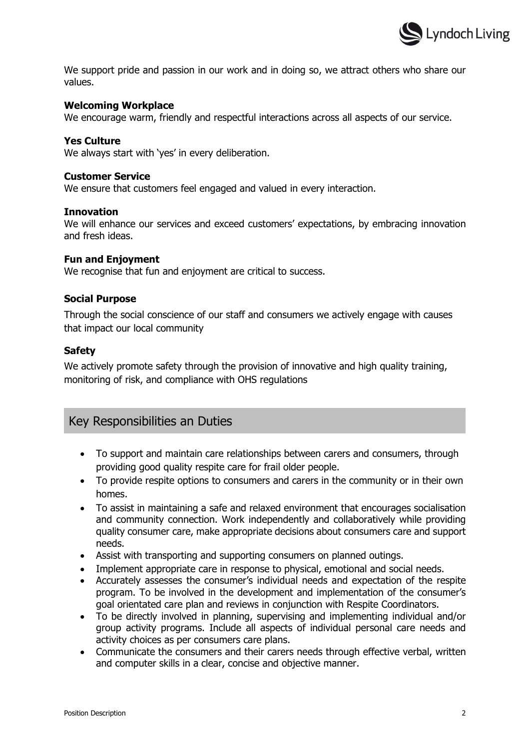

We support pride and passion in our work and in doing so, we attract others who share our values.

#### Welcoming Workplace

We encourage warm, friendly and respectful interactions across all aspects of our service.

#### Yes Culture

We always start with 'yes' in every deliberation.

#### Customer Service

We ensure that customers feel engaged and valued in every interaction.

#### Innovation

We will enhance our services and exceed customers' expectations, by embracing innovation and fresh ideas.

#### Fun and Enjoyment

We recognise that fun and enjoyment are critical to success.

#### Social Purpose

Through the social conscience of our staff and consumers we actively engage with causes that impact our local community

#### Safety

We actively promote safety through the provision of innovative and high quality training, monitoring of risk, and compliance with OHS regulations

## Key Responsibilities an Duties

- To support and maintain care relationships between carers and consumers, through providing good quality respite care for frail older people.
- To provide respite options to consumers and carers in the community or in their own homes.
- To assist in maintaining a safe and relaxed environment that encourages socialisation and community connection. Work independently and collaboratively while providing quality consumer care, make appropriate decisions about consumers care and support needs.
- Assist with transporting and supporting consumers on planned outings.
- Implement appropriate care in response to physical, emotional and social needs.
- Accurately assesses the consumer's individual needs and expectation of the respite program. To be involved in the development and implementation of the consumer's goal orientated care plan and reviews in conjunction with Respite Coordinators.
- To be directly involved in planning, supervising and implementing individual and/or group activity programs. Include all aspects of individual personal care needs and activity choices as per consumers care plans.
- Communicate the consumers and their carers needs through effective verbal, written and computer skills in a clear, concise and objective manner.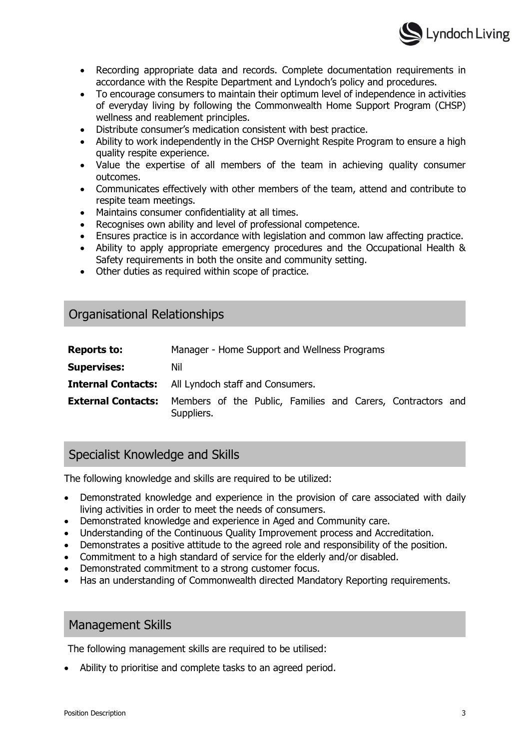

- Recording appropriate data and records. Complete documentation requirements in accordance with the Respite Department and Lyndoch's policy and procedures.
- To encourage consumers to maintain their optimum level of independence in activities of everyday living by following the Commonwealth Home Support Program (CHSP) wellness and reablement principles.
- Distribute consumer's medication consistent with best practice.
- Ability to work independently in the CHSP Overnight Respite Program to ensure a high quality respite experience.
- Value the expertise of all members of the team in achieving quality consumer outcomes.
- Communicates effectively with other members of the team, attend and contribute to respite team meetings.
- Maintains consumer confidentiality at all times.
- Recognises own ability and level of professional competence.
- Ensures practice is in accordance with legislation and common law affecting practice.
- Ability to apply appropriate emergency procedures and the Occupational Health & Safety requirements in both the onsite and community setting.
- Other duties as required within scope of practice.

# Organisational Relationships

| <b>Reports to:</b>        | Manager - Home Support and Wellness Programs                              |
|---------------------------|---------------------------------------------------------------------------|
| <b>Supervises:</b>        | Nil                                                                       |
|                           | <b>Internal Contacts:</b> All Lyndoch staff and Consumers.                |
| <b>External Contacts:</b> | Members of the Public, Families and Carers, Contractors and<br>Suppliers. |

# Specialist Knowledge and Skills

The following knowledge and skills are required to be utilized:

- Demonstrated knowledge and experience in the provision of care associated with daily living activities in order to meet the needs of consumers.
- Demonstrated knowledge and experience in Aged and Community care.
- Understanding of the Continuous Quality Improvement process and Accreditation.
- Demonstrates a positive attitude to the agreed role and responsibility of the position.
- Commitment to a high standard of service for the elderly and/or disabled.
- Demonstrated commitment to a strong customer focus.
- Has an understanding of Commonwealth directed Mandatory Reporting requirements.

## Management Skills

The following management skills are required to be utilised:

Ability to prioritise and complete tasks to an agreed period.